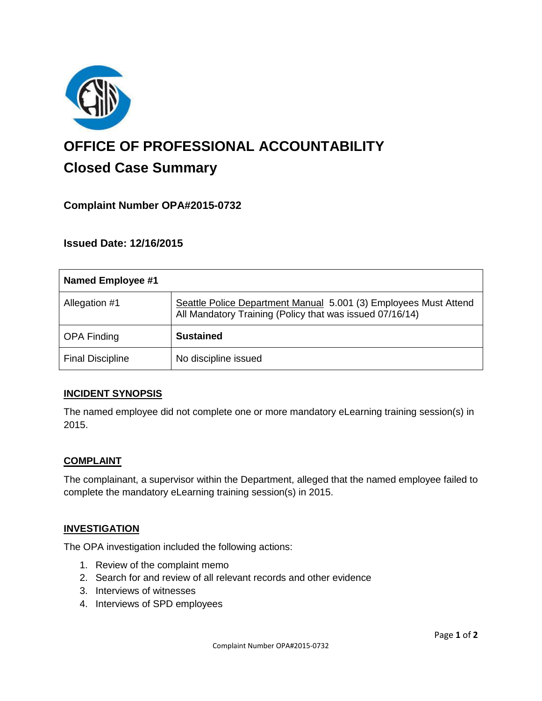

# **OFFICE OF PROFESSIONAL ACCOUNTABILITY Closed Case Summary**

# **Complaint Number OPA#2015-0732**

**Issued Date: 12/16/2015**

| Named Employee #1       |                                                                                                                              |
|-------------------------|------------------------------------------------------------------------------------------------------------------------------|
| Allegation #1           | Seattle Police Department Manual 5.001 (3) Employees Must Attend<br>All Mandatory Training (Policy that was issued 07/16/14) |
| <b>OPA Finding</b>      | <b>Sustained</b>                                                                                                             |
| <b>Final Discipline</b> | No discipline issued                                                                                                         |

#### **INCIDENT SYNOPSIS**

The named employee did not complete one or more mandatory eLearning training session(s) in 2015.

#### **COMPLAINT**

The complainant, a supervisor within the Department, alleged that the named employee failed to complete the mandatory eLearning training session(s) in 2015.

#### **INVESTIGATION**

The OPA investigation included the following actions:

- 1. Review of the complaint memo
- 2. Search for and review of all relevant records and other evidence
- 3. Interviews of witnesses
- 4. Interviews of SPD employees